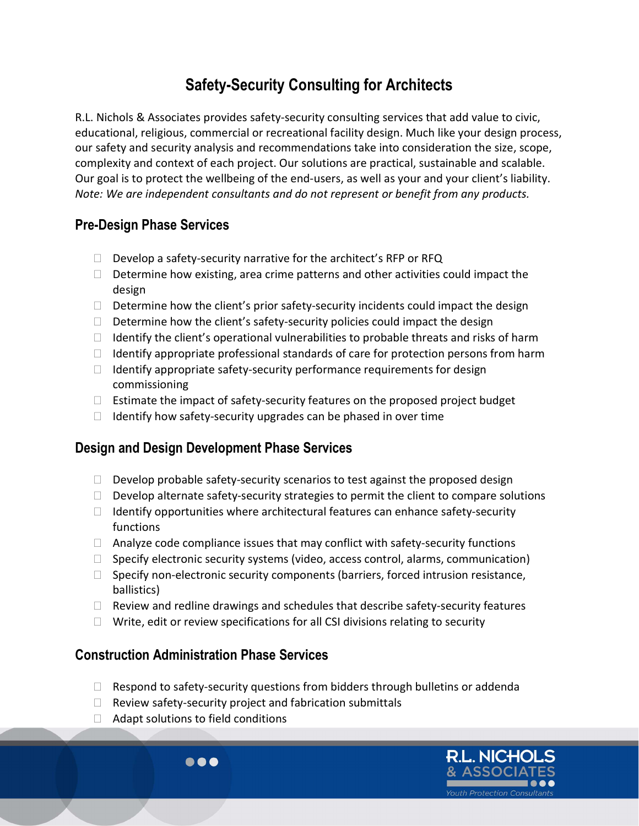# Safety-Security Consulting for Architects

R.L. Nichols & Associates provides safety-security consulting services that add value to civic, educational, religious, commercial or recreational facility design. Much like your design process, our safety and security analysis and recommendations take into consideration the size, scope, complexity and context of each project. Our solutions are practical, sustainable and scalable. Our goal is to protect the wellbeing of the end-users, as well as your and your client's liability. Note: We are independent consultants and do not represent or benefit from any products.

## Pre-Design Phase Services

- $\Box$  Develop a safety-security narrative for the architect's RFP or RFQ
- $\Box$  Determine how existing, area crime patterns and other activities could impact the design
- $\Box$  Determine how the client's prior safety-security incidents could impact the design
- $\Box$  Determine how the client's safety-security policies could impact the design
- $\Box$  Identify the client's operational vulnerabilities to probable threats and risks of harm
- $\Box$  Identify appropriate professional standards of care for protection persons from harm
- $\Box$  Identify appropriate safety-security performance requirements for design commissioning
- $\Box$  Estimate the impact of safety-security features on the proposed project budget
- $\Box$  Identify how safety-security upgrades can be phased in over time

### Design and Design Development Phase Services

- $\Box$  Develop probable safety-security scenarios to test against the proposed design
- $\Box$  Develop alternate safety-security strategies to permit the client to compare solutions
- $\Box$  Identify opportunities where architectural features can enhance safety-security functions
- $\Box$  Analyze code compliance issues that may conflict with safety-security functions
- $\Box$  Specify electronic security systems (video, access control, alarms, communication)
- $\Box$  Specify non-electronic security components (barriers, forced intrusion resistance, ballistics)
- $\Box$  Review and redline drawings and schedules that describe safety-security features
- $\Box$  Write, edit or review specifications for all CSI divisions relating to security

### Construction Administration Phase Services

- $\Box$  Respond to safety-security questions from bidders through bulletins or addenda
- $\Box$  Review safety-security project and fabrication submittals
- $\Box$  Adapt solutions to field conditions

 $\bullet\bullet\bullet$